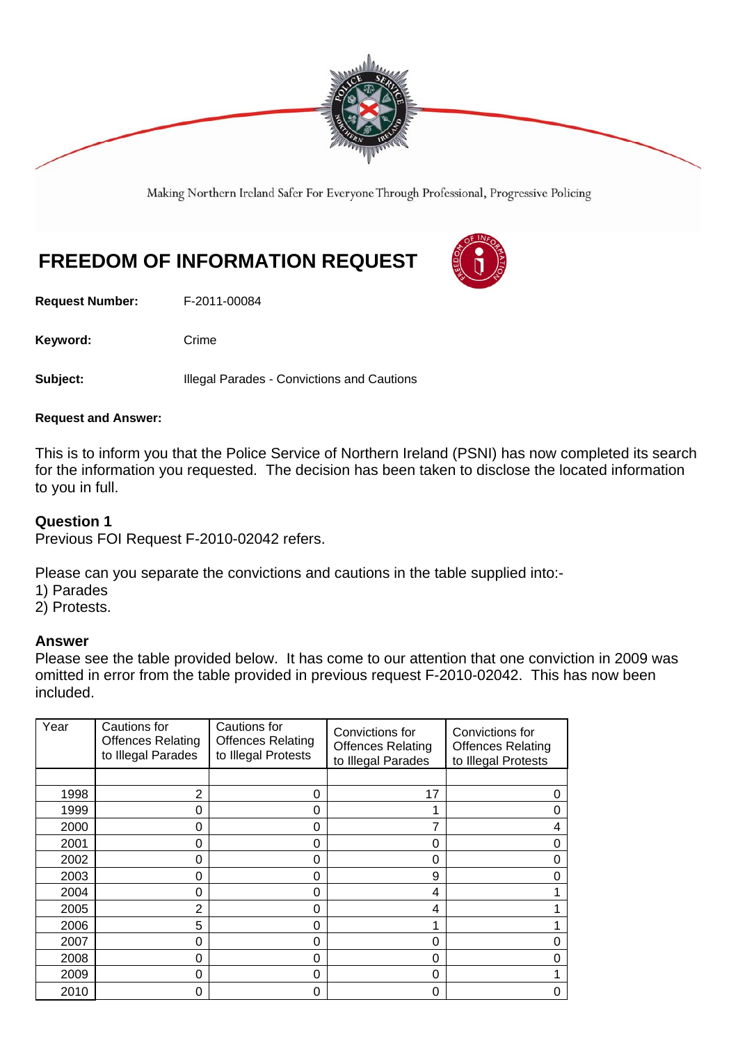

Making Northern Ireland Safer For Everyone Through Professional, Progressive Policing

# **FREEDOM OF INFORMATION REQUEST**

**Request Number:** F-2011-00084

Keyword: Crime

**Subject:** Illegal Parades - Convictions and Cautions

#### **Request and Answer:**

This is to inform you that the Police Service of Northern Ireland (PSNI) has now completed its search for the information you requested. The decision has been taken to disclose the located information to you in full.

## **Question 1**

Previous FOI Request F-2010-02042 refers.

Please can you separate the convictions and cautions in the table supplied into:-

- 1) Parades
- 2) Protests.

#### **Answer**

Please see the table provided below. It has come to our attention that one conviction in 2009 was omitted in error from the table provided in previous request F-2010-02042. This has now been included.

| Year | Cautions for<br><b>Offences Relating</b><br>to Illegal Parades | Cautions for<br><b>Offences Relating</b><br>to Illegal Protests | Convictions for<br><b>Offences Relating</b><br>to Illegal Parades | Convictions for<br><b>Offences Relating</b><br>to Illegal Protests |
|------|----------------------------------------------------------------|-----------------------------------------------------------------|-------------------------------------------------------------------|--------------------------------------------------------------------|
|      |                                                                |                                                                 |                                                                   |                                                                    |
| 1998 | 2                                                              | Ω                                                               | 17                                                                |                                                                    |
| 1999 | $\Omega$                                                       | U                                                               |                                                                   |                                                                    |
| 2000 | 0                                                              | ი                                                               | 7                                                                 | 4                                                                  |
| 2001 | $\Omega$                                                       | O                                                               | 0                                                                 | 0                                                                  |
| 2002 | $\Omega$                                                       | 0                                                               | $\Omega$                                                          | U                                                                  |
| 2003 | 0                                                              | 0                                                               | 9                                                                 | O                                                                  |
| 2004 | 0                                                              | O                                                               | 4                                                                 |                                                                    |
| 2005 | $\mathcal{P}$                                                  | O                                                               | 4                                                                 |                                                                    |
| 2006 | 5                                                              |                                                                 |                                                                   |                                                                    |
| 2007 | 0                                                              | O                                                               | 0                                                                 | 0                                                                  |
| 2008 | 0                                                              | 0                                                               | 0                                                                 |                                                                    |
| 2009 | $\Omega$                                                       | O                                                               | 0                                                                 |                                                                    |
| 2010 | 0                                                              |                                                                 | 0                                                                 |                                                                    |